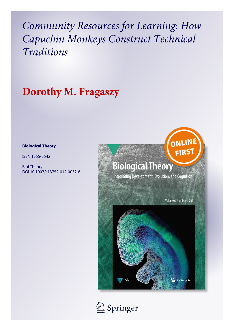*Community Resources for Learning: How Capuchin Monkeys Construct Technical Traditions*

# **Dorothy M. Fragaszy**

#### **Biological Theory**

ISSN 1555-5542

Biol Theory DOI 10.1007/s13752-012-0032-8



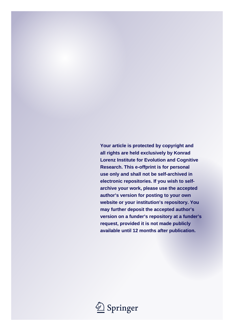**Your article is protected by copyright and all rights are held exclusively by Konrad Lorenz Institute for Evolution and Cognitive Research. This e-offprint is for personal use only and shall not be self-archived in electronic repositories. If you wish to selfarchive your work, please use the accepted author's version for posting to your own website or your institution's repository. You may further deposit the accepted author's version on a funder's repository at a funder's request, provided it is not made publicly available until 12 months after publication.**

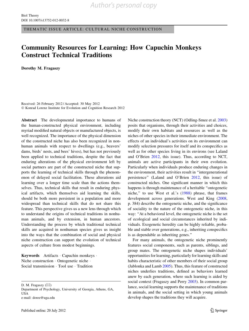THEMATIC ISSUE ARTICLE: CULTURAL NICHE CONSTRUCTION

### Community Resources for Learning: How Capuchin Monkeys Construct Technical Traditions

Dorothy M. Fragaszy

Received: 26 February 2012 / Accepted: 30 May 2012 - Konrad Lorenz Institute for Evolution and Cognition Research 2012

Abstract The developmental importance to humans of the human-constructed physical environment, including myriad modified natural objects or manufactured objects, is well recognized. The importance of the physical dimension of the constructed niche has also been recognized in nonhuman animals with respect to dwellings (e.g., beavers' dams, birds' nests, and bees' hives), but has not previously been applied to technical traditions, despite the fact that enduring alterations of the physical environment left by social partners are part of the constructed niche that supports the learning of technical skills through the phenomenon of delayed social facilitation. These alterations aid learning over a longer time scale than the actions themselves. Thus, technical skills that result in enduring physical artifacts, which themselves aid learning the skills, should be both more persistent in a population and more widespread than technical skills that do not share this feature. This perspective gives us a new lens through which to understand the origins of technical traditions in nonhuman animals, and by extension, in human ancestors. Understanding the process by which traditional technical skills are acquired in nonhuman species gives us insight into the ways that the combination of social and physical niche construction can support the evolution of technical aspects of culture from modest beginnings.

Keywords Artifacts - Capuchin monkeys - Niche construction - Ontogenetic niche - Social transmission · Tool use · Tradition

D. M. Fragaszy (⊠)

Department of Psychology, University of Georgia, Athens, GA, **USA** e-mail: doree@uga.edu

Niche construction theory (NCT) (Odling-Smee et al. [2003\)](#page-11-0) posits that organisms, through their activities and choices, modify their own habitats and resources as well as the niches of other species in their immediate environment. The effects of an individual's activities on its environment can modify selection pressures for itself and its conspecifics as well as for other species living in its environs (see Laland and O'Brien [2012](#page-10-0), this issue). Thus, according to NCT, animals are active participants in their own evolution. Particularly when individuals produce enduring changes in the environment, their activities result in ''intergenerational persistence'' (Laland and O'Brien [2012](#page-10-0), this issue) of constructed niches. One significant manner in which this happens is through maintenance of a heritable ''ontogenetic niche,'' to use West et al.'s [\(1988](#page-11-0)) phrase, that frames development across generations. West and King ([2008,](#page-11-0) p. 384) describe the ontogenetic niche, and the significance of sociality to the nature of the ontogenetic niche, in this way: ''At a behavioral level, the ontogenetic niche is the set of ecological and social circumstances inherited by individuals. Exogenetic heredity can be highly reliable, probable and stable over generations, e.g., inheriting conspecifics is as dependable as inheriting genes.''

For many animals, the ontogenetic niche prominently features social components, such as parents, siblings, and group mates. The ontogenetic niche shapes individuals' opportunities for learning, particularly for learning skills and habits characteristic of other members of their social group (Jablonka and Lamb [2005\)](#page-10-0). Thus, this feature of constructed niches underlies traditions, defined as behaviors learned anew by each generation, where such learning is aided by social context (Fragaszy and Perry [2003\)](#page-10-0). In common parlance, social learning supports the maintenance of traditions in animals, and the social setting in which young animals develop shapes the traditions they will acquire.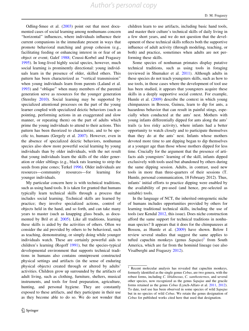Odling-Smee et al. ([2003\)](#page-11-0) point out that most documented cases of social learning among nonhumans concern ''horizontal'' influences, where individuals influence their current companions in the immediate present in ways that promote behavioral matching and group cohesion (e.g., facilitating feeding or enhancing interest in or fear of an object or event; Galef [1988;](#page-10-0) Coussi-Korbel and Fragaszy [1995\)](#page-10-0). In long-lived highly social species, however, much social learning is prominently directional: young individuals learn in the presence of older, skilled others. This pattern has been characterized as ''vertical transmission'' when young individuals learn from parents (Laland et al. [1993\)](#page-10-0) and ''oblique'' when many members of the parental generation serve as resources for the younger generation (Sterelny [2010\)](#page-11-0). Social learning may be supported by specialized attentional processes on the part of the young learner coupled with specialized deictic behaviors (such as pointing, performing actions in an exaggerated and slow manner, or repeating them) on the part of adults which prime the young individuals to attend to their actions. This pattern has been theorized to characterize, and to be specific to, humans (Gergely et al. [2007\)](#page-10-0). However, even in the absence of specialized deictic behaviors, nonhuman species also show more powerful social learning by young individuals than by older individuals, with the net result that young individuals learn the skills of the older generation or older siblings (e.g., black rats learning to strip the seeds from pine cones; Terkel [1996](#page-11-0)). Older individuals are resources—community resources—for learning for younger individuals.

My particular concern here is with technical traditions, such as using hand tools. It is taken for granted that humans typically learn technical skills through a process that includes social learning. Technical skills are learned by practice; they involve specialized actions, control of objects held in the hand, and so forth, and can take many years to master (such as knapping glass beads, as documented by Bril et al. [2005\)](#page-10-0). Like all traditions, learning these skills is aided by the activities of others. Often we consider the aid provided by others to be behavioral, such as teaching, demonstrating, or simply doing while younger individuals watch. These are certainly powerful aids to children's learning (Rogoff [1991](#page-11-0)), but the species-typical developmental environment that supports technical traditions in humans also contains omnipresent constructed physical settings and artifacts (in the sense of enduring physical objects) created through or altered by adults' activities. Children grow up surrounded by the artifacts of adult living, such as clothing, furniture, shelters, musical instruments, and tools for food preparation, agriculture, hunting, and personal hygiene. They are constantly exposed to these artifacts, and they participate in their use as they become able to do so. We do not wonder that

children learn to use artifacts, including basic hand tools, and master their culture's technical skills of daily living in a few short years, and we do not question that the development of these technical skills reflects both the supportive influence of adult activity (through modeling, teaching, or both) and practice, sometimes when adults are not performing these skills.

Some species of nonhuman primates display putative technical traditions, such as using tools in foraging (reviewed in Shumaker et al. [2011\)](#page-11-0). Although adults in these species do not teach youngsters skills, such as how to use tools, in those cases where the development of tool use has been studied, it appears that youngsters acquire these skills in a deeply supportive social context. For example, Humle et al. [\(2009](#page-10-0)) describe the context in which young chimpanzees in Bossou, Guinea, learn to dip for ants, a hazardous behavior that can result in painful stings, especially when conducted at the ants' nest. Mothers with young infants differentially dipped for ants along the ants' trails (a less risky activity), where infants had a better opportunity to watch closely and to participate themselves than they do at the ants' nest. Infants whose mothers devoted more time to ant dipping began to dip themselves at a younger age than those whose mothers dipped for less time. Crucially for the argument that the presence of artifacts aids youngsters' learning of the skill, infants dipped exclusively with tools used but abandoned by others during the same dipping session. Adults, in contrast, used new tools in more than three-quarters of their sessions (T. Humle, personal communication, 18 February 2012). Thus, infants' initial efforts to practice dipping were enabled by the availability of pre-used (and hence, pre-selected as suitable) tools.

In the language of NCT, the inherited ontogenetic niche of humans includes opportunities provided by others for learning traditional technical skills, including the use of tools (see Kendal [2012,](#page-10-0) this issue). Does niche construction afford the same support for technical traditions in nonhuman species? It appears that it does for the chimpanzees at Bossou, as Humle et al. ([2009\)](#page-10-0) have shown. Below I review several studies that suggest the same applies to tufted capuchin monkeys (genus Sapajus)<sup>1</sup> from South America, which are far from the hominid lineage (see also Visalberghi and Fragaszy [2012](#page-11-0)).

<sup>&</sup>lt;sup>1</sup> Recent molecular analysis has revealed that capuchin monkeys, formerly identified as the single genus Cebus, are two genera, with the robust forms, including C. libidinosus, C. xanthosternos, and several other species, now recognized as the genus Sapajus and the gracile forms retained as the genus Cebus (Lynch-Alfaro et al. [2011](#page-10-0), [2012](#page-10-0)). To date, tool use has been observed in some species of wild Sapajus but in no species of wild Cebus. We retain the genus designation of Cebus for published works cited here that used that designation.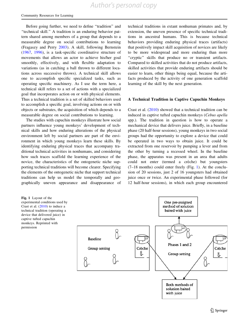Before going further, we need to define "tradition" and ''technical skill.'' A tradition is an enduring behavior pattern shared among members of a group that depends to a measurable degree on social contributions to learning (Fragaszy and Perry [2003](#page-10-0)). A skill, following Bernstein [\(1967](#page-10-0), [1996](#page-10-0)), is a task-specific coordinative structure of movements that allows an actor to achieve his/her goal smoothly, effectively, and with flexible adaptation to variations (as in catching a ball thrown to different locations across successive throws). A technical skill allows one to accomplish specific specialized tasks, such as operating specific machinery. As I use the term here, a technical skill refers to a set of actions with a specialized goal that incorporates action on or with physical elements. Thus a technical tradition is a set of skilled behaviors used to accomplish a specific goal, involving actions on or with objects or substrates, the acquisition of which depends to a measurable degree on social contributions to learning.

The studies with capuchin monkeys illustrate how social partners influence young monkeys' development of technical skills and how enduring alterations of the physical environment left by social partners are part of the environment in which young monkeys learn these skills. By identifying enduring physical traces that accompany traditional technical activities in nonhumans, and considering how such traces scaffold the learning experience of the novice, the characteristics of the ontogenetic niche supporting technical traditions will become clearer. Specifying the elements of the ontogenetic niche that support technical traditions can help us model the temporally and geographically uneven appearance and disappearance of

technical traditions in extant nonhuman primates and, by extension, the uneven presence of specific technical traditions in ancestral humans. This is because technical behaviors providing enduring physical traces (artifacts) that positively impact skill acquisition of novices are likely to be more widespread and more enduring than more "cryptic" skills that produce no or transient artifacts. Compared to skilled activities that do not produce artifacts, skilled activities that provide enduring artifacts should be easier to learn, other things being equal, because the artifacts produced by the activity of one generation scaffold learning of the skill by the next generation.

#### A Technical Tradition in Captive Capuchin Monkeys

Crast et al. ([2010](#page-10-0)) showed that a technical tradition can be induced in captive tufted capuchin monkeys (Cebus apella spp.). The tradition in question is how to operate a mechanical device that delivers juice. Briefly, in a baseline phase (20 half-hour sessions), young monkeys in two social groups had the opportunity to explore a device that could be operated in two ways to obtain juice. It could be extracted from one reservoir by pumping a lever and from the other by turning a recessed wheel. In the baseline phase, the apparatus was present in an area that adults could not enter (termed a crèche) but youngsters (7–18 months) could enter freely (Fig. 1). At the conclusion of 20 sessions, just 2 of 16 youngsters had obtained juice once or twice. An experimental phase followed (for 12 half-hour sessions), in which each group encountered

Fig. 1 Layout of the experimental conditions used by Crast et al. ([2010\)](#page-10-0) to induce a technical tradition (operating a device that delivered juice) in captive tufted capuchin monkeys. Reprinted with permission

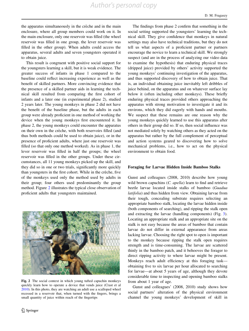the apparatus simultaneously in the crèche and in the main enclosure, where all group members could work on it. In the main enclosure, only one reservoir was filled (the wheel reservoir was filled in one group, the lever reservoir was filled in the other group). When adults could access the apparatus, several adults and seven youngsters operated it to obtain juice.

This result is congruent with positive social support for the youngsters learning a skill, but it is weak evidence. The greater success of infants in phase 1 compared to the baseline could reflect increasing experience as well as the benefit of skilled partners. More convincing evidence that the presence of a skilled partner aids in learning the technical skill resulted from comparing the first cohort of infants and a later one (in experimental phase 2), studied 2 years later. The young monkeys in phase 2 did not have the benefit of the baseline phase, but the adults in each group were already proficient in one method of working the device when the young monkeys first encountered it. In phase 2, the young monkeys could encounter the apparatus on their own in the crèche, with both reservoirs filled (and thus both methods could be used to obtain juice), or in the presence of proficient adults, where just one reservoir was filled (so that only one method worked). As in phase 1, the lever reservoir was filled in half the groups; the wheel reservoir was filled in the other groups. Under these circumstances, all 11 young monkeys picked up the skill, and they did so in one or two trials, significantly more quickly than youngsters in the first cohort. While in the crèche, five of the monkeys used only the method used by adults in their group; four others used predominantly the group method. Figure 2 illustrates the typical close observation of proficient adults that youngsters maintained.



Fig. 2 The social context in which young tufted capuchin monkeys quickly learn how to operate a device that vends juice (Crast et al [2010\)](#page-10-0). In this photo, they are watching an adult use a scalloped wheel recessed in a reservoir that, when turned with the fingers, brings a small quantity of juice within reach of the fingertips

The findings from phase 2 confirm that something in the social setting supported the youngsters' learning the technical skill. They give confidence that monkeys in natural settings may also have technical traditions, but they do not tell us what aspects of a proficient partner or partners encourage the novice to learn a technical skill. We strongly suspect (and are in the process of analyzing our video data to examine the hypothesis) that enduring physical traces (dripped juice) provided by others' activity supported the young monkeys' continuing investigation of the apparatus, and thus supported discovery of how to obtain juice. That is, an individual obtaining juice inevitably left dribbles of juice behind, on the apparatus and on whatever surface lay below it (often including other monkeys). These briefly enduring physical traces provided others approaching the apparatus with strong motivation to investigate it and its environs, which they did eagerly with hands and mouths. We suspect that these remains are one reason why the young monkeys quickly learned to use this apparatus after others in their group did so. If so, then social influence was not mediated solely by watching others as they acted on the apparatus but rather by the full complement of perceptual and action systems geared to discovering how to solve mechanical problems, i.e., how to act on the physical environment to obtain food.

#### Foraging for Larvae Hidden Inside Bamboo Stalks

Gunst and colleagues (2008, 2010) describe how young wild brown capuchins (*C. apella*) learn to find and retrieve beetle larvae located inside stalks of bamboo (Guadua latifolia) and thus hidden from view. Obtaining larvae from their tough, concealing substrate requires selecting an appropriate bamboo stalk, locating the larvae hidden inside (both components of searching), and ripping the stalk open and extracting the larvae (handling components) (Fig. [3](#page-6-0)). Locating an appropriate stalk and an appropriate site on the stalk is not easy because the areas of bamboo that contain larvae do not differ in external appearance from areas lacking larvae. Choosing the right spot to open is important to the monkey because ripping the stalk open requires strength and is time-consuming. The larvae are scattered thinly in the bamboo patch, and it behooves the forager to direct ripping activity to where larvae might be present. Monkeys reach adult efficiency at this foraging task obtaining five to six larvae per hour allocated to searching for larvae—at about 5 years of age, although they devote considerable time to inspecting and opening bamboo stalks from about 1 year of age.

Gunst and colleagues' (2008, 2010) study shows how social partners' alteration of the physical environment channel the young monkeys' development of skill in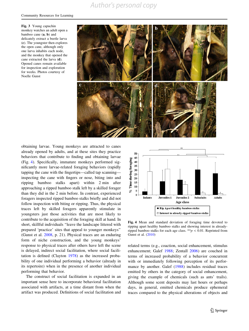<span id="page-6-0"></span>Fig. 3 Young capuchin monkey watches an adult open a bamboo cane (a, b) and delicately extract a beetle larva (c). The youngster then explores the open cane, although only one larva inhabits each node, and the monkey that opened the cane extracted the larva (d). Opened canes remain available for inspection and exploration for weeks. Photos courtesy of Noelle Gunst



obtaining larvae. Young monkeys are attracted to canes already opened by adults, and at these sites they practice behaviors that contribute to finding and obtaining larvae (Fig. 4). Specifically, immature monkeys performed significantly more larvae-related foraging behaviors (rapidly tapping the cane with the fingertips—called tap scanning inspecting the cane with fingers or nose, biting into and ripping bamboo stalks apart) within 2 min after approaching a ripped bamboo stalk left by a skilled forager than they did in the 2 min before. In contrast, experienced foragers inspected ripped bamboo stalks briefly and did not follow inspection with biting or ripping. Thus, the physical traces left by skilled foragers apparently stimulate in youngsters just those activities that are most likely to contribute to the acquisition of the foraging skill at hand. In short, skillful individuals ''leave the landscape littered with prepared 'practice' sites that appeal to younger monkeys'' (Gunst et al. [2008](#page-10-0), p. 21). Physical traces are an enduring form of niche construction, and the young monkeys' response to physical traces after others have left the scene is delayed, indirect social facilitation, where social facilitation is defined (Clayton [1978](#page-10-0)) as the increased probability of one individual performing a behavior (already in its repertoire) when in the presence of another individual performing that behavior.

The construct of social facilitation is expanded in an important sense here to incorporate behavioral facilitation associated with artifacts, at a time distant from when the artifact was produced. Definitions of social facilitation and



Fig. 4 Mean and standard deviation of foraging time devoted to ripping apart healthy bamboo stalks and showing interest in alreadyripped bamboo stalks for each age class. \*\*  $p < 0.01$ . Reprinted from Gunst et al. [\(2010](#page-10-0))

related terms (e.g., coaction, social enhancement, stimulus enhancement; Galef [1988](#page-10-0); Zentall [2006\)](#page-11-0) are couched in terms of increased probability of a behavior concurrent with or immediately following perception of its performance by another. Galef ([1988\)](#page-10-0) includes residual traces emitted by others in the category of social enhancement, giving the example of chemicals (such as ants' trails). Although some scent deposits may last hours or perhaps days, in general, emitted chemicals produce ephemeral traces compared to the physical alterations of objects and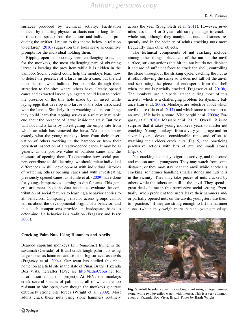surfaces produced by technical activity. Facilitation induced by enduring physical artifacts can be long distant in time (and space) from the actions and individuals producing the artifact. I return to this theme below in relation to Jeffares' ([2010\)](#page-10-0) suggestion that tools serve as cognitive prompts for the individual holding them.

Ripping open bamboo may seem challenging to us, but for the monkeys, the most challenging part of obtaining larvae is locating the prey item while it is hidden in the bamboo. Social context could help the monkeys learn how to detect the presence of a larva inside a cane, but the aid must be somewhat indirect. For example, through their attraction to the sites where others have already opened canes and extracted larvae, youngsters could learn to notice the presence of the tiny hole made by an insect while laying eggs that develop into larvae or the odor associated with the larvae. Similarly, from watching adults searching, they could learn that tapping serves as a relatively reliable cue about the presence of larvae inside the stalk. But they will not find a larva by investigating the empty site from which an adult has removed the larva. We do not know exactly what the young monkeys learn from their observation of others working in the bamboo or from their persistent inspection of already-opened canes. It may be as generic as the positive value of bamboo canes and the pleasure of opening them. To determine how social partners contribute to skill learning, we should relate individual differences in skill development with individual histories of watching others opening canes and with investigating previously opened canes, as Humle et al. ([2009\)](#page-10-0) have done for young chimpanzees learning to dip for ants. This general argument about the data needed to evaluate the contribution of social features to learning a behavior applies to all behaviors. Comparing behavior across groups cannot tell us about the developmental origins of a behavior, and thus such comparisons provide an inadequate basis to determine if a behavior is a tradition (Fragaszy and Perry [2003\)](#page-10-0).

#### Cracking Palm Nuts Using Hammers and Anvils

Bearded capuchin monkeys (S. libidinosus) living in the savannah (Cerrado) of Brazil crack tough palm nuts using large stones as hammers and stone or log surfaces as anvils (Fragaszy et al. [2004\)](#page-10-0). Our team has studied this phenomenon at a field site in the state of Piuaı´, Brazil (Fazenda Boa Vista, hereafter FBV; see <http://EthoCebus.net> for information about this project). At FBV, the monkeys crack several species of palm nuts, all of which are too resistant to bite open, even though the monkeys generate extremely strong bite forces (Wright et al. [2009](#page-11-0)). Most adults crack these nuts using stone hammers routinely

across the year (Spagnoletti et al. [2011\)](#page-11-0). However, juveniles less than 4 or 5 years old rarely manage to crack a whole nut, although they manipulate nuts and stones frequently and in the vicinity of adults cracking nuts more frequently than other objects.

The technical components of nut cracking include, among other things, placement of the nut on the anvil surface, striking actions that hit the nut but do not displace it and are of sufficient force to crack the shell, controlling the stone throughout the striking cycle, catching the nut as it rolls following the strike so it does not fall off the anvil, and separating the pieces of endosperm from the shell when the nut is partially cracked (Fragaszy et al. [2010b](#page-10-0)). The monkeys use a bipedal stance during most of this activity, which is a challenging problem for dynamic balance (Liu et al. [2009](#page-10-0)). Monkeys are selective about which anvil to use (Liu et al. [2011\)](#page-10-0) and which stone to transport to an anvil, if it lacks a stone (Visalberghi et al. [2009a](#page-11-0); Fragaszy et al. [2010a](#page-10-0); Massaro et al. [2012](#page-11-0)). Overall, it is no surprise that it takes young monkeys years to master nut cracking. Young monkeys, from a very young age and for several years, devote considerable time and effort to watching their elders crack nuts (Fig. 5) and practicing percussive actions with bits of nut and small stones (Fig. [6\)](#page-8-0).

Nut cracking is a noisy, vigorous activity, and the sound and motion attract youngsters. They may watch from some distance, or they may stay near the anvil while another is cracking, sometimes handling smaller stones and nutshells in the vicinity. They may take pieces of nuts cracked by others while the others are still at the anvil. They spend a great deal of time in this permissive social setting. Eventually, when proficient tool users leave their hammers and/ or partially opened nuts on the anvils, youngsters use them to ''practice,'' if they are strong enough to lift the hammer stones (which may weigh more than the young monkeys



Fig. 5 Adult bearded capuchin cracking a nut using a large hammer stone, while two juveniles watch with interest. This is a very common event at Fazenda Boa Vista, Brazil. Photo by Barth Wright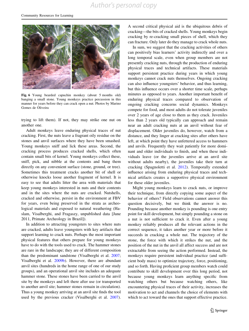<span id="page-8-0"></span>

Fig. 6 Young bearded capuchin monkey (about 5 months old) banging a small stone. Young monkeys practice percussion in this manner for years before they can crack open a nut. Photos by Marino Gomes de Oliveira

trying to lift them). If not, they may strike one nut on another one.

Adult monkeys leave enduring physical traces of nut cracking. First, the nuts leave a fragrant oily residue on the stones and anvil surfaces where they have been smashed. Young monkeys sniff and lick these areas. Second, the cracking process produces cracked shells, which often contain small bits of kernel. Young monkeys collect these, sniff, pick, and nibble at the contents and bang them directly on any convenient surface (stone, ground, or tree). Sometimes this treatment cracks another bit of shell or otherwise knocks loose another fragment of kernel. It is easy to see that adults litter the area with materials that keep young monkeys interested in nuts and their contents and in the sites where the nuts are cracked. Nutshells, cracked and otherwise, persist in the environment at FBV for years, even being preserved in the strata as archeological materials and exposed to natural weathering (Haslam, Visalberghi, and Fragaszy, unpublished data [June 2011, Primate Archeology in Brazil]).

In addition to attracting youngsters to sites where nuts are cracked, adults leave youngsters with key artifacts that support learning to crack nuts. Perhaps the most important physical features that others prepare for young monkeys have to do with the tools used to crack. The hammer stones are rare in the landscape; they are of different composition than the predominant sandstone (Visalberghi et al. [2007](#page-11-0); Visalberghi et al. [2009b\)](#page-11-0). However, there are abundant anvil sites (hundreds in the home range of one of our study groups), and an operational anvil site includes an adequate hammer stone. These stones have been carried to the anvil site by the monkeys and left there after use (or transported to another anvil site; hammer stones remain in circulation). Thus a young monkey arriving at an anvil site finds the tool used by the previous cracker (Visalberghi et al. [2007](#page-11-0)).

A second critical physical aid is the ubiquitous debris of cracking—the bits of cracked shells. Young monkeys begin cracking by re-cracking small pieces of shell, which they can fracture. Only later do they manage to crack whole nuts.

In sum, we suggest that the cracking activities of others can positively bias learners' activity indirectly and over a long temporal scale, even when group members are not presently cracking nuts, through the production of enduring physical traces and technical artifacts. These materials support persistent practice during years in which young monkeys cannot crack nuts themselves. Ongoing cracking can also influence youngsters' behavior, and thus learning, but this influence occurs over a shorter time scale, perhaps minutes as opposed to years. Another important benefit of enduring physical traces compared to observation of ongoing cracking concerns social dynamics. Monkeys compete for food, and most adults do not tolerate juveniles over 2 years of age close to them as they crack. Juveniles less than 2 years old typically can approach and remain near an adult cracking nuts at an anvil without fear of displacement. Older juveniles do, however, watch from a distance, and they linger at cracking sites after others have left, at which point they have unfettered access to hammers and anvils. Frequently they wait patiently for more dominant and older individuals to finish, and when these individuals leave (or the juveniles arrive at an anvil site without adults nearby), the juveniles take their turn at cracking (Spagnoletti et al. [2012\)](#page-11-0). Temporally extended influence arising from enduring physical traces and technical artifacts creates a supportive physical environment for these older juveniles.

Might young monkeys learn to crack nuts, or improve their technique, from directly copying some aspect of the behavior of others? Field observations cannot answer this question decisively, but we think the answer is no. Pounding because another monkey is pounding is one entry point for skill development, but simply pounding a stone on a nut is not sufficient to crack it. Even after a young monkey reliably produces all the relevant actions in the correct sequence, it takes another year or more before it succeeds in cracking a whole nut. The trajectory of the stone, the force with which it strikes the nut, and the position of the nut in the anvil all affect success and are not extractable from seeing the action performed. Instead, the monkeys require persistent individual practice (and sufficient body mass) to optimize trajectory, force, positioning, and so forth. Having proficient group members watch could contribute to skill development over this long period, not because young monkeys learn anything specific from watching others but because watching others, like encountering physical traces of their activity, increases the motivation to act and channels the choice of elements with which to act toward the ones that support effective practice.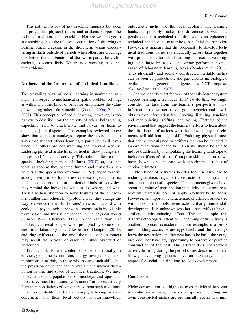This natural history of nut cracking suggests but does not prove that physical traces and artifacts support the technical tradition of nut cracking. Nor are we able yet to say anything about the relative contribution of observing or hearing others cracking in the short term versus encountering artifacts outside of periods when others are cracking, or whether the combination of the two is particularly efficacious, as seems likely. We are now working to collect that evidence.

#### Artifacts and the Occurrence of Technical Traditions

The prevailing view of social learning in nonhuman animals with respect to mechanical or spatial problem solving, as with many other kinds of behavior, emphasizes the value of watching others do something (Zentall [2006](#page-11-0); Subiaul [2007\)](#page-11-0). This conception of social learning, however, is too narrow to describe how the activity of others helps young capuchins learn to crack nuts, find larvae, or learn to operate a juice dispenser. The examples reviewed above show that capuchin monkeys prepare the environment in ways that support others learning a particular skill, even when the others are not watching the relevant activity. Enduring physical artifacts, in particular, draw youngsters' interest and focus their activity. This point applies to other species, including humans. Jaffares ([2010](#page-10-0)) argues that tools, as soon as they became durable and re-used (which he puts at the appearance of Homo habilis), began to serve as cognitive primers for the use of these objects. That is, tools become prompts for particular kinds of activities; they remind the individual what to do, where, and why. They also bias attention to some features of the environment rather than others. In a profound way, they change the way one views the world. Jeffares' view is in accord with ecological psychologists' view that cognition is indivisible from action and thus is embedded in the physical world (Gibson [1979](#page-10-0); Chemero [2009\)](#page-10-0). In the same way that monkeys can recall shapes when prompted by some other cue in a laboratory task (Basile and Hampton [2011](#page-10-0)), enduring artifacts (e.g., the anvil, the nuts, or the hammer) may recall the actions of cracking, either observed or performed.

Technical skills may confer some benefit (usually in efficiency of time expenditure, energy savings or gain, or minimization of risk) to those who possess such skills, but the provision of benefit cannot explain the uneven distribution in time and space of technical traditions. We have no evidence that populations of monkeys and apes that possess technical traditions are ''smarter'' or reproductively fitter than populations of congeners without such traditions. It is more probable that they are simply behaving in ways congruent with their local details of learning—their ontogenetic niche and the local ecology. The learning landscape probably makes the difference between the persistence of a technical tradition versus an ephemeral technical behavior, no matter how beneficial the behavior. However, it appears that the propensity to develop technical traditions varies systematically across taxa together with propensities for social learning and extractive foraging, with large brain size and strong performance on a range of laboratory learning tasks (Reader et al. [2011](#page-11-0)). Thus physically and socially constructed heritable niches can be seen as products of, and participants in, biological evolution of a general intelligence, as NCT proposes (Odling-Smee et al. [2003\)](#page-11-0).

Can we identify what features of the task–learner system support learning a technical skill? To do this, we might consider the task from the learner's perspective—what information the learner uses to guide behavior and how it obtains that information from looking, listening, touching and manipulating, sniffing, and tasting. Features of the environment that support the learners' efforts to learn about the affordances of actions with the relevant physical elements will aid learning a skill. Enduring physical traces that can be investigated or artifacts that can be handled in task-relevant ways fit the bill. Thus we should be able to induce traditions by manipulating the learning landscape to include artifacts of this sort from prior skilled action, as we have shown to be the case with experimental studies of captive primates.

Other kinds of activities besides tool use also lead to enduring artifacts (e.g., nest construction) that impact the ontogenetic niche of a species. The arguments given above about the value of participation in activity and exposure to relevant materials do not apply exclusively to tools. However, an important characteristic of artifacts associated with tools is that tools invite actions that promote skill development. It is unknown whether other artifacts have a similar activity-inducing effect. This is a topic that deserves ethologists' attention. The timing of the activity is another important consideration. For example, if a bird's nest building occurs before eggs hatch, and the nestlings leave the nest before another nest has to be built, the young bird does not have any opportunity to observe or practice construction of the nest. This artifact does not scaffold activity learning during the period of residence in the nest. Slowly developing species have an advantage in this respect for social contributions to skill development.

#### Conclusion

Niche construction is a highway from individual behavior to evolutionary change. For social species, including our own, constructed niches are prominently social in origin.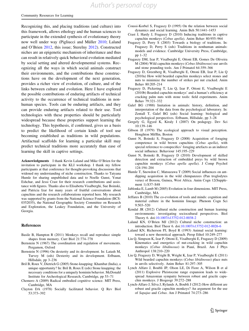<span id="page-10-0"></span>Recognizing this, and placing traditions (and culture) into this framework, allows ethology and the human sciences to participate in the extended synthesis of evolutionary theory now well under way (Pigliucci and Müller [2010](#page-11-0); Laland and O'Brien 2012, this issue; Sterelny [2012\)](#page-11-0). Constructed niches are an epigenetic mechanism of inheritance and thus can result in relatively quick behavioral evolution mediated by social setting and altered developmental systems. Recognizing all the ways in which social animals construct their environments, and the contributions these constructions have on the development of the next generation, provides a richer view of evolution, of culture, and of the links between culture and evolution. Here I have explored the possible contributions of enduring artifacts of technical activity to the occurrence of technical traditions in nonhuman species. Tools can be enduring artifacts, and they can provide enduring artifacts related to their use. Tool technologies with these properties should be particularly widespread because these properties support learning the technology. This hypothesis, if confirmed, gives us a basis to predict the likelihood of certain kinds of tool use becoming established as traditions in wild populations. Artifactual scaffolds for learning a particular skill may predict technical traditions more accurately than ease of learning the skill in captive settings.

Acknowledgments I thank Kevin Laland and Mike O'Brien for the invitation to participate in the KLI workshop. I thank my fellow participants at that conference for thought-provoking discussions that widened my understanding of niche construction. Thanks to Tatyana Humle for sharing unpublished data and to Noelle Gunst, Yonat Eshchar, and Jessi Crast for their research contributions and assistance with figures. Thanks also to Elisabetta Visalberghi, Sue Boinski, and Patricia Izar for many years of fruitful conversations about capuchins and the research collaborations reported here. My research was supported by grants from the National Science Foundation (BCS-0352035), the National Geographic Society Committee on Research and Exploration, the Leakey Foundation, and the University of Georgia.

#### References

- Basile B, Hampton R (2011) Monkeys recall and reproduce simple shapes from memory. Curr Biol 21:774–778
- Bernstein N (1967) The coordination and regulation of movements. Pergamon, Oxford
- Bernstein N (1996) On dexterity and its development. In: Latash M, Turvey M (eds) Dexterity and its development. Erlbaum, Hillsdale, pp 3–236
- Bril B, Roux V, Dietrich G (2005) Stone-knapping: Khambat (India), a unique opportunity? In: Bril B, Roux E (eds) Stone knapping: the necessary conditions for a uniquely hominin behavior. McDonald Institute for Archeological Research, Cambridge, pp 53–71
- Chemero A (2009) Radical embodied cognitive science. MIT Press, Cambridge, MA
- Clayton DA (1978) Socially facilitated behavior. Q Rev Biol 53:373–392
- Coussi-Korbel S, Fragaszy D (1995) On the relation between social dynamics and social learning. Anim Beh 50:1441–1453
- Crast J, Hardy J, Fragaszy D (2010) Inducing traditions in captive capuchin monkeys (Cebus apella). Anim Behav 80:955–964
- Fragaszy D, Perry S (2003) Towards a biology of traditions. In: Fragaszy D, Perry S (eds) Traditions in nonhuman animals: models and evidence. Cambridge University Press, Cambridge, pp 1–32
- Fragaszy DM, Izar P, Visalberghi E, Ottoni EB, Gomes De Oliveira M (2004) Wild capuchin monkeys (Cebus libidinosus) use anvils and stone pounding tools. Am J Primatol 64:359–366
- Fragaszy D, Greenberg R, Visalberghi E, Ottoni EB, Izar P, Liu Q (2010a) How wild bearded capuchin monkeys select stones and nuts to minimize the number of strikes per nut cracked. Anim Behav 80:205–214
- Fragaszy D, Pickering T, Liu Q, Izar P, Ottoni E, Visalberghi E (2010b) Bearded capuchin monkeys' and a human's efficiency at cracking palm nuts with stone tools: field experiments. Anim Behav 79:321–332
- Galef BG (1988) Imitation in animals: history, definition, and interpretation of the data from the psychological laboratory. In: Zentall T, Galef BG (eds) Social learning: biological and psychological perspectives. Erlbaum, Hillsdale, pp 3–28
- Gergely G, Egyed K, Kiraly I (2007) On pedagogy. Dev Sci 10:139–146
- Gibson JJ (1979) The ecological approach to visual perception. Houghton Mifflin, Boston
- Gunst N, Boinski S, Fragaszy D (2008) Acquisition of foraging competence in wild brown capuchins (Cebus apella), with special reference to conspecifics' foraging artefacts as an indirect social influence. Behaviour 145:195–229
- Gunst N, Boinski B, Fragaszy D (2010) Development of skilled detection and extraction of embedded preys by wild brown capuchin monkeys (Cebus apella apella). J Comp Psychol 124:194–204
- Humle T, Snowdon C, Matsuzawa T (2009) Social influences on antdipping acquisition in the wild chimpanzees (Pan troglodytes verus) of Bossou, Guinea, West Africa. Anim Cogn 12(Supplement 1):S37–S48
- Jablonka E, Lamb M (2005) Evolution in four dimensions. MIT Press, Cambridge, MA
- Jeffares B (2010) The co-evolution of tools and minds: cognition and material culture in the hominin lineage. Phenom Cogn Sci 9:503–520
- Kendal JR (2012) Cultural niche construction and human learning environments: investigating sociocultural perspectives. Biol Theory 6. doi:[10.1007/s13752-012-0038-2](http://dx.doi.org/10.1007/s13752-012-0038-2)
- Laland KN, O'Brien MJ (2012) Cultural niche construction: an introduction. Biol Theor 6. doi:[10.1007/s13752-012-0026-6](http://dx.doi.org/10.1007/s13752-012-0026-6)
- Laland KN, Richerson PJ, Boyd R (1993) Animal social learning: toward a new theoretical approach. Persp Ethol 10:249–277
- Liu Q, Simpson K, Izar P, Ottoni E, Visalberghi E, Fragaszy D (2009) Kinematics and energetics of nut-cracking in wild capuchin monkeys (Cebus libidinosus) in Piauí, Brazil. Am J Phys Anthropol 138:210–220
- Liu Q, Fragaszy D, Wright B, Wright K, Izar P, Visalberghi E (2011) Wild bearded capuchin monkeys (Cebus libidinosus) place nuts in anvils selectively. Anim Behav 81:297–305
- Lynch Alfaro J, Boubli JP, Olson LE, Di Fiore A, Wilson B et al (2011) Explosive Pleistocene range expansion leads to widespread Amazonian sympatry between robust and gracile capuchin monkeys. J Biogeogr 39:272–288
- Lynch-Alfaro J, Silva J, Rylands A, Boubli J (2012) How different are robust and gracile capuchin monkeys? An argument for the use of Sapajus and Cebus. Am J Primatol 74:273–286